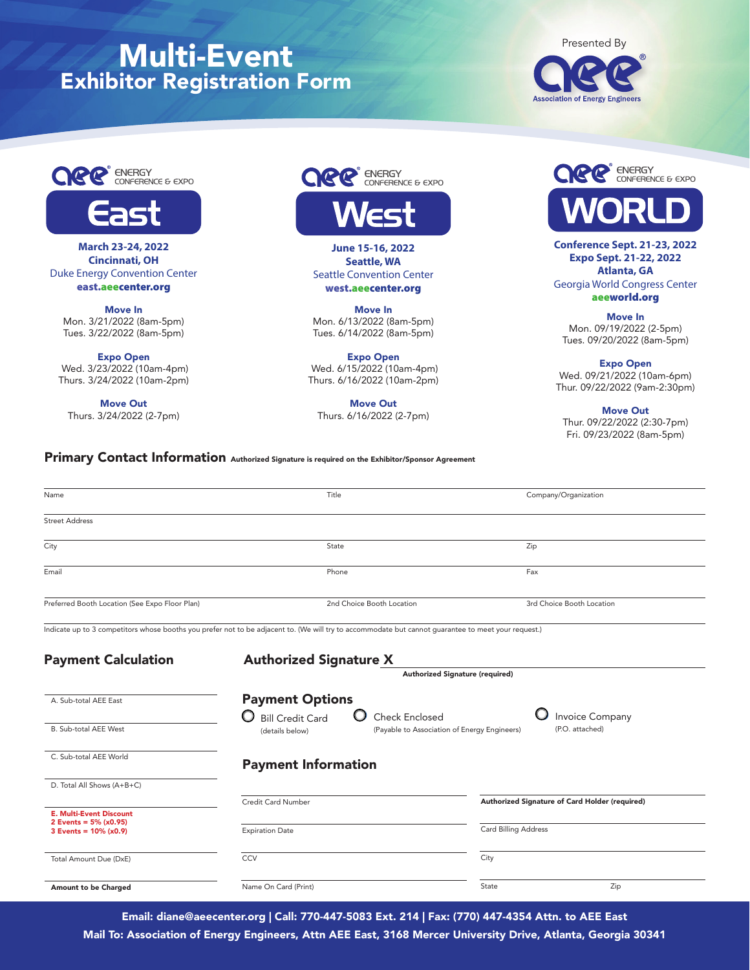# Multi-Event Presented By Exhibitor Registration Form







## **March 23-24, 2022 Cincinnati, OH**  Duke Energy Convention Center east.aeecenter.org

Move In Mon. 3/21/2022 (8am-5pm) Tues. 3/22/2022 (8am-5pm)

Expo Open Wed. 3/23/2022 (10am-4pm) Thurs. 3/24/2022 (10am-2pm)

Move Out Thurs. 3/24/2022 (2-7pm)



**June 15-16, 2022 Seattle, WA** Seattle Convention Center west.aeecenter.org

Move In Mon. 6/13/2022 (8am-5pm) Tues. 6/14/2022 (8am-5pm)

Expo Open Wed. 6/15/2022 (10am-4pm) Thurs. 6/16/2022 (10am-2pm)

Move Out Thurs. 6/16/2022 (2-7pm)



**Conference Sept. 21-23, 2022 Expo Sept. 21-22, 2022 Atlanta, GA** Georgia World Congress Center aeeworld.org

Move In Mon. 09/19/2022 (2-5pm) Tues. 09/20/2022 (8am-5pm)

Expo Open Wed. 09/21/2022 (10am-6pm) Thur. 09/22/2022 (9am-2:30pm)

Move Out Thur. 09/22/2022 (2:30-7pm) Fri. 09/23/2022 (8am-5pm)

## Primary Contact Information Authorized Signature is required on the Exhibitor/Sponsor Agreement

| Name                                                       | Title                                                                                                                                               | Company/Organization                           |
|------------------------------------------------------------|-----------------------------------------------------------------------------------------------------------------------------------------------------|------------------------------------------------|
| <b>Street Address</b>                                      |                                                                                                                                                     |                                                |
| City                                                       | State                                                                                                                                               | Zip                                            |
| Email                                                      | Phone                                                                                                                                               | Fax                                            |
| Preferred Booth Location (See Expo Floor Plan)             | 2nd Choice Booth Location                                                                                                                           | 3rd Choice Booth Location                      |
|                                                            | Indicate up to 3 competitors whose booths you prefer not to be adjacent to. (We will try to accommodate but cannot quarantee to meet your request.) |                                                |
| <b>Payment Calculation</b>                                 | <b>Authorized Signature X</b>                                                                                                                       |                                                |
|                                                            | Authorized Signature (required)                                                                                                                     |                                                |
| A. Sub-total AEE East                                      | <b>Payment Options</b>                                                                                                                              |                                                |
|                                                            | O<br><b>Bill Credit Card</b><br>Check Enclosed                                                                                                      | <b>Invoice Company</b>                         |
| <b>B.</b> Sub-total AEE West                               | (Payable to Association of Energy Engineers)<br>(details below)                                                                                     | (P.O. attached)                                |
| C. Sub-total AEE World                                     | <b>Payment Information</b>                                                                                                                          |                                                |
| D. Total All Shows (A+B+C)                                 |                                                                                                                                                     |                                                |
|                                                            | Credit Card Number                                                                                                                                  | Authorized Signature of Card Holder (required) |
| <b>E. Multi-Event Discount</b><br>2 Events = $5\%$ (x0.95) |                                                                                                                                                     |                                                |
| $3$ Events = $10% (x0.9)$                                  | <b>Expiration Date</b>                                                                                                                              | Card Billing Address                           |
| Total Amount Due (DxE)                                     | CCV                                                                                                                                                 | City                                           |
| Amount to be Charged                                       | Name On Card (Print)                                                                                                                                | Zip<br>State                                   |
|                                                            |                                                                                                                                                     |                                                |

Email: diane@aeecenter.org | Call: 770-447-5083 Ext. 214 | Fax: (770) 447-4354 Attn. to AEE East

Mail To: Association of Energy Engineers, Attn AEE East, 3168 Mercer University Drive, Atlanta, Georgia 30341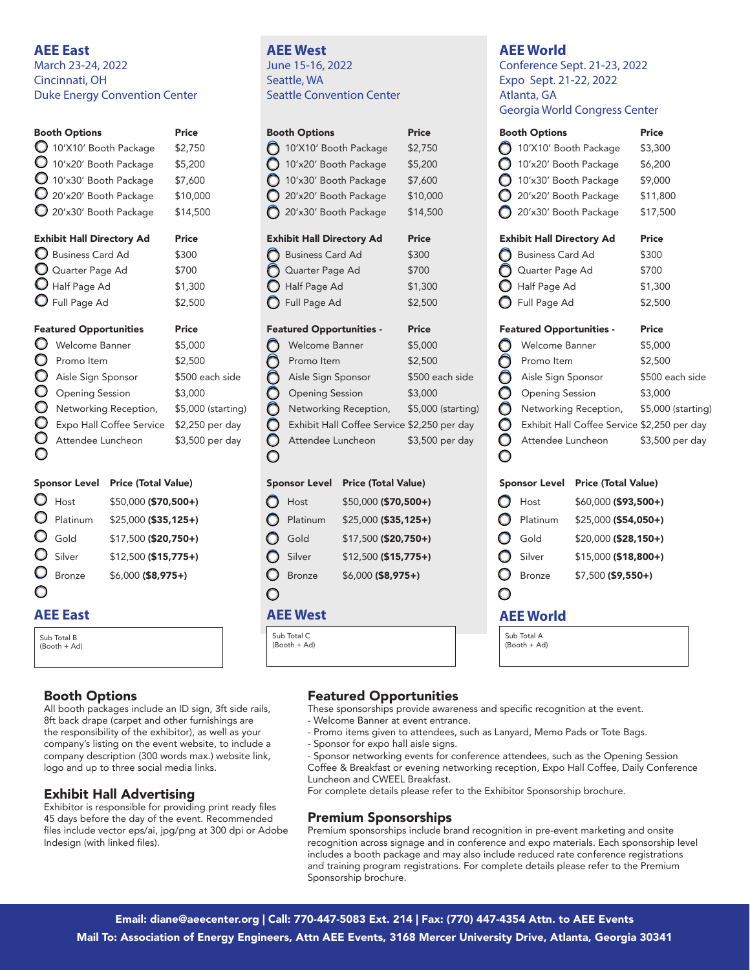## **AEE East**

March 23-24, 2022 Cincinnati, OH Duke Energy Convention Center

|         | <b>Booth Options</b>             | Price              |
|---------|----------------------------------|--------------------|
|         | 10'X10' Booth Package            | \$2,750            |
|         | 10'x20' Booth Package            | \$5,200            |
|         | 10'x30' Booth Package            | \$7,600            |
|         | 20'x20' Booth Package            | \$10,000           |
|         | 20'x30' Booth Package            | \$14,500           |
|         | <b>Exhibit Hall Directory Ad</b> | Price              |
|         | Business Card Ad                 | \$300              |
|         | Q Quarter Page Ad                | \$700              |
|         | Half Page Ad                     | \$1,300            |
|         | S Full Page Ad                   | \$2,500            |
|         | <b>Featured Opportunities</b>    | Price              |
| O       | Welcome Banner                   | \$5,000            |
| O       | Promo Item                       | \$2,500            |
| O       | Aisle Sign Sponsor               | \$500 each side    |
| $\circ$ | <b>Opening Session</b>           | \$3,000            |
| O       | Networking Reception,            | \$5,000 (starting) |
| Ō       | Expo Hall Coffee Service         | \$2,250 per day    |
| O       | Attendee Luncheon                | \$3,500 per day    |

## Sponsor Level Price (Total Value)  $\bigcirc$  Host \$50,000 (\$70,500+)  $\bigcirc$  Platinum \$25,000 (\$35,125+) Gold \$17,500 (\$20,750+)  $\bigcirc$  Silver \$12,500 (\$15,775+) Bronze \$6,000 (\$8,975+) ∩

Attendee Luncheon \$3,500 per day

## **AEE East**

O

Sub Total B (Booth + Ad)

## Booth Options

All booth packages include an ID sign, 3ft side rails, 8ft back drape (carpet and other furnishings are the responsibility of the exhibitor), as well as your company's listing on the event website, to include a company description (300 words max.) website link, logo and up to three social media links.

## Exhibit Hall Advertising

Exhibitor is responsible for providing print ready files 45 days before the day of the event. Recommended files include vector eps/ai, jpg/png at 300 dpi or Adobe Indesign (with linked files).

## **AEE West** June 15-16, 2022 Seattle, WA Seattle Convention Center

| <b>Booth Options</b>             | Price    |
|----------------------------------|----------|
| 10'X10' Booth Package            | \$2,750  |
| 10'x20' Booth Package            | \$5,200  |
| 10'x30' Booth Package            | \$7,600  |
| 20'x20' Booth Package            | \$10,000 |
| 20'x30' Booth Package            | \$14,500 |
|                                  |          |
|                                  |          |
| <b>Exhibit Hall Directory Ad</b> | Price    |
| <b>Business Card Ad</b>          | \$300    |
| Quarter Page Ad                  | \$700    |
| Half Page Ad                     | \$1,300  |
| Full Page Ad                     | \$2,500  |

## Featured Opportunities - Price

| Welcome Banner                              | \$5,000            |
|---------------------------------------------|--------------------|
| Promo Item                                  | \$2,500            |
| Aisle Sign Sponsor                          | \$500 each side    |
| <b>Opening Session</b>                      | \$3,000            |
| Networking Reception,                       | \$5,000 (starting) |
| Exhibit Hall Coffee Service \$2,250 per day |                    |
| Attendee Luncheon                           | \$3,500 per day    |

## Sponsor Level Price (Total Value)

| O | Host              | \$50,000 (\$70,500+)  |
|---|-------------------|-----------------------|
| O | Platinum          | \$25,000 (\$35,125+)  |
|   | $\bigcirc$ Gold   | \$17,500 (\$20,750+)  |
|   | $\bigcirc$ Silver | $$12,500$ (\$15,775+) |
|   | <b>O</b> Bronze   | \$6,000 (\$8,975+)    |

## **AEE West**

 $\bigcirc$ 

Sub Total C (Booth + Ad)

## **AEE World**

Conference Sept. 21-23, 2022 Expo Sept. 21-22, 2022 Atlanta, GA Georgia World Congress Center

| <b>Booth Options</b> |                                                                                                                                                                                                                       |                                   | <b>Price</b>                                |
|----------------------|-----------------------------------------------------------------------------------------------------------------------------------------------------------------------------------------------------------------------|-----------------------------------|---------------------------------------------|
|                      | 10'X10' Booth Package                                                                                                                                                                                                 |                                   | \$3,300                                     |
|                      | 10'x20' Booth Package                                                                                                                                                                                                 |                                   | \$6,200                                     |
|                      | $\bigcirc$ 10'x30' Booth Package                                                                                                                                                                                      |                                   | \$9,000                                     |
|                      | $\bigcirc$ 20'x20' Booth Package                                                                                                                                                                                      |                                   | \$11,800                                    |
|                      | 20'x30' Booth Package                                                                                                                                                                                                 |                                   | \$17,500                                    |
|                      | <b>Exhibit Hall Directory Ad</b>                                                                                                                                                                                      |                                   | Price                                       |
|                      | Business Card Ad                                                                                                                                                                                                      |                                   | \$300                                       |
|                      | Q Quarter Page Ad                                                                                                                                                                                                     |                                   | \$700                                       |
|                      | $\bigcirc$ Half Page Ad                                                                                                                                                                                               |                                   | \$1,300                                     |
|                      | <b>D</b> Full Page Ad                                                                                                                                                                                                 |                                   | \$2,500                                     |
|                      | <b>Featured Opportunities -</b>                                                                                                                                                                                       |                                   | <b>Price</b>                                |
|                      |                                                                                                                                                                                                                       |                                   | \$5,000                                     |
|                      |                                                                                                                                                                                                                       |                                   | \$2,500                                     |
|                      |                                                                                                                                                                                                                       |                                   | \$500 each side                             |
|                      |                                                                                                                                                                                                                       |                                   |                                             |
|                      |                                                                                                                                                                                                                       |                                   | \$5,000 (starting)                          |
|                      |                                                                                                                                                                                                                       |                                   | Exhibit Hall Coffee Service \$2,250 per day |
|                      | - Journeu Japon Lumius<br>■ Promo Item<br>■ Aisle Sign Sponsor<br>■ Aisle Sign Sponsor<br>■ Opening Session<br>■ Networking Reception,<br>■ Exhibit Hall Coffee Service<br>■ Attendee Luncheon<br>■ Attendee Luncheon |                                   | \$3,500 per day                             |
|                      |                                                                                                                                                                                                                       |                                   |                                             |
|                      |                                                                                                                                                                                                                       | Sponsor Level Price (Total Value) |                                             |
| $\circ$              | Host                                                                                                                                                                                                                  | $$60,000$ (\$93,500+)             |                                             |
|                      | Platinum                                                                                                                                                                                                              | $$25,000$ (\$54,050+)             |                                             |
|                      | $\bigcirc$ Gold                                                                                                                                                                                                       | $$20,000$ (\$28,150+)             |                                             |
|                      | Silver                                                                                                                                                                                                                | $$15,000$ (\$18,800+)             |                                             |
|                      | O Bronze                                                                                                                                                                                                              | $$7,500$ (\$9,550+)               |                                             |
| O                    |                                                                                                                                                                                                                       |                                   |                                             |
|                      | <b>AEE World</b>                                                                                                                                                                                                      |                                   |                                             |
|                      |                                                                                                                                                                                                                       |                                   |                                             |

Sub Total A (Booth + Ad)

## Featured Opportunities

These sponsorships provide awareness and specific recognition at the event.

- Welcome Banner at event entrance.
- Promo items given to attendees, such as Lanyard, Memo Pads or Tote Bags.
- Sponsor for expo hall aisle signs.
- Sponsor networking events for conference attendees, such as the Opening Session Coffee & Breakfast or evening networking reception, Expo Hall Coffee, Daily Conference Luncheon and CWEEL Breakfast.

For complete details please refer to the Exhibitor Sponsorship brochure.

## Premium Sponsorships

Premium sponsorships include brand recognition in pre-event marketing and onsite recognition across signage and in conference and expo materials. Each sponsorship level includes a booth package and may also include reduced rate conference registrations and training program registrations. For complete details please refer to the Premium Sponsorship brochure.